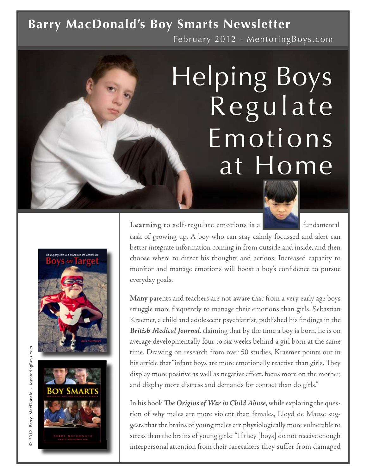### February 2012 - MentoringBoys.com **Barry MacDonald's Boy Smarts Newsletter**

# Regulate Helping Boys Emotions at Home

Learning to self-regulate emotions is a **fundamental** fundamental

task of growing up. A boy who can stay calmly focussed and alert can better integrate information coming in from outside and inside, and then choose where to direct his thoughts and actions. Increased capacity to monitor and manage emotions will boost a boy's confidence to pursue everyday goals.

**Many** parents and teachers are not aware that from a very early age boys struggle more frequently to manage their emotions than girls. Sebastian Kraemer, a child and adolescent psychiatrist, published his findings in the *British Medical Journal*, claiming that by the time a boy is born, he is on average developmentally four to six weeks behind a girl born at the same time. Drawing on research from over 50 studies, Kraemer points out in his article that "infant boys are more emotionally reactive than girls. They display more positive as well as negative affect, focus more on the mother, and display more distress and demands for contact than do girls."

In his book *The Origins of War in Child Abuse*, while exploring the question of why males are more violent than females, Lloyd de Mause suggests that the brains of young males are physiologically more vulnerable to stress than the brains of young girls: "If they [boys] do not receive enough interpersonal attention from their caretakers they suffer from damaged



 $\odot$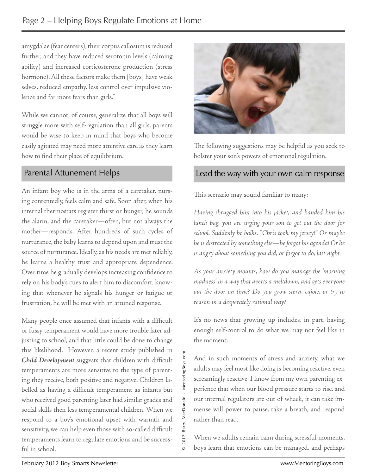amygdalae (fear centers), their corpus callosum is reduced further, and they have reduced serotonin levels (calming ability) and increased corticosterone production (stress hormone). All these factors make them [boys] have weak selves, reduced empathy, less control over impulsive violence and far more fears than girls."

While we cannot, of course, generalize that all boys will struggle more with self-regulation than all girls, parents would be wise to keep in mind that boys who become easily agitated may need more attentive care as they learn how to find their place of equilibrium.

#### Parental Attunement Helps

An infant boy who is in the arms of a caretaker, nursing contentedly, feels calm and safe. Soon after, when his internal thermostats register thirst or hunger, he sounds the alarm, and the caretaker—often, but not always the mother—responds. After hundreds of such cycles of nurturance, the baby learns to depend upon and trust the source of nurturance. Ideally, as his needs are met reliably, he learns a healthy trust and appropriate dependence. Over time he gradually develops increasing confidence to rely on his body's cues to alert him to discomfort, knowing that whenever he signals his hunger or fatigue or frustration, he will be met with an attuned response.

Child Development suggests that children with difficult<br>temperaments are more sensitive to the type of parent-<br>ing they receive, both positive and negative. Children la-<br>belled as having a difficult temperament as infants Many people once assumed that infants with a difficult or fussy temperament would have more trouble later adjusting to school, and that little could be done to change this likelihood. However, a recent study published in *Child Development* suggests that children with difficult temperaments are more sensitive to the type of parenting they receive, both positive and negative. Children labelled as having a difficult temperament as infants but who received good parenting later had similar grades and social skills then less temperamental children. When we respond to a boy's emotional upset with warmth and sensitivity, we can help even those with so-called difficult temperaments learn to regulate emotions and be successful in school.



The following suggestions may be helpful as you seek to bolster your son's powers of emotional regulation.

#### Lead the way with your own calm response

This scenario may sound familiar to many:

*Having shrugged him into his jacket, and handed him his lunch bag, you are urging your son to get out the door for school. Suddenly he balks. "Chris took my jersey!" Or maybe he is distracted by something else—he forgot his agenda! Or he is angry about something you did, or forgot to do, last night.* 

*As your anxiety mounts, how do you manage the 'morning madness' in a way that averts a meltdown, and gets everyone out the door on time? Do you grow stern, cajole, or try to reason in a desperately rational way?* 

It's no news that growing up includes, in part, having enough self-control to do what we may not feel like in the moment.

And in such moments of stress and anxiety, what we adults may feel most like doing is becoming reactive, even screamingly reactive. I know from my own parenting experience that when our blood pressure starts to rise, and our internal regulators are out of whack, it can take immense will power to pause, take a breath, and respond rather than react.

When we adults remain calm during stressful moments, boys learn that emotions can be managed, and perhaps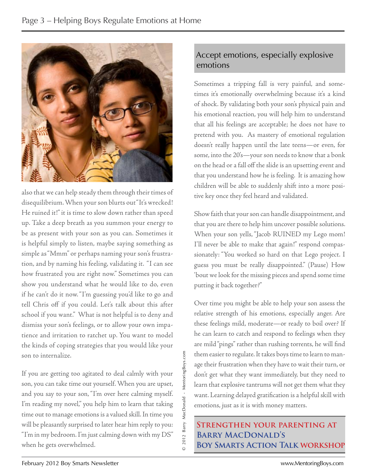

also that we can help steady them through their times of disequilibrium. When your son blurts out "It's wrecked! He ruined it!" it is time to slow down rather than speed up. Take a deep breath as you summon your energy to be as present with your son as you can. Sometimes it is helpful simply to listen, maybe saying something as simple as "Mmm" or perhaps naming your son's frustration, and by naming his feeling, validating it. "I can see how frustrated you are right now." Sometimes you can show you understand what he would like to do, even if he can't do it now. "I'm guessing you'd like to go and tell Chris off if you could. Let's talk about this after school if you want." What is not helpful is to deny and dismiss your son's feelings, or to allow your own impatience and irritation to ratchet up. You want to model the kinds of coping strategies that you would like your son to internalize.

If you are getting too agitated to deal calmly with your son, you can take time out yourself. When you are upset, and you say to your son, "I'm over here calming myself. I'm reading my novel," you help him to learn that taking time out to manage emotions is a valued skill. In time you will be pleasantly surprised to later hear him reply to you: "I'm in my bedroom. I'm just calming down with my DS" when he gets overwhelmed.

© 2012 Barry MacDonald - MentoringBoys.com

 $\circ$ 

2012 Barry MacDonald - MentoringBoys.com

#### Accept emotions, especially explosive emotions

Sometimes a tripping fall is very painful, and sometimes it's emotionally overwhelming because it's a kind of shock. By validating both your son's physical pain and his emotional reaction, you will help him to understand that all his feelings are acceptable; he does not have to pretend with you. As mastery of emotional regulation doesn't really happen until the late teens—or even, for some, into the 20's—your son needs to know that a bonk on the head or a fall off the slide is an upsetting event and that you understand how he is feeling. It is amazing how children will be able to suddenly shift into a more positive key once they feel heard and validated.

Show faith that your son can handle disappointment, and that you are there to help him uncover possible solutions. When your son yells, "Jacob RUINED my Lego mom! I'll never be able to make that again!" respond compassionately: "You worked so hard on that Lego project. I guess you must be really disappointed." (Pause) How 'bout we look for the missing pieces and spend some time putting it back together?"

Over time you might be able to help your son assess the relative strength of his emotions, especially anger. Are these feelings mild, moderate—or ready to boil over? If he can learn to catch and respond to feelings when they are mild "pings" rather than rushing torrents, he will find them easier to regulate. It takes boys time to learn to manage their frustration when they have to wait their turn, or don't get what they want immediately, but they need to learn that explosive tantrums will not get them what they want. Learning delayed gratification is a helpful skill with emotions, just as it is with money matters.

 **Strengthen your parenting at Barry MacDonald's Boy Smarts Action Talk workshop**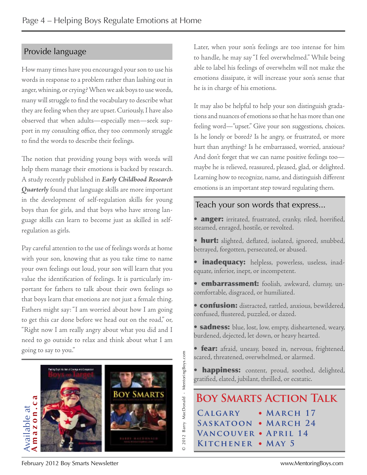#### Provide language

How many times have you encouraged your son to use his words in response to a problem rather than lashing out in anger, whining, or crying? When we ask boys to use words, many will struggle to find the vocabulary to describe what they are feeling when they are upset. Curiously, I have also observed that when adults—especially men—seek support in my consulting office, they too commonly struggle to find the words to describe their feelings.

The notion that providing young boys with words will help them manage their emotions is backed by research. A study recently published in *Early Childhood Research Quarterly* found that language skills are more important in the development of self-regulation skills for young boys than for girls, and that boys who have strong language skills can learn to become just as skilled in selfregulation as girls.

Pay careful attention to the use of feelings words at home with your son, knowing that as you take time to name your own feelings out loud, your son will learn that you value the identification of feelings. It is particularly important for fathers to talk about their own feelings so that boys learn that emotions are not just a female thing. Fathers might say: "I am worried about how I am going to get this car done before we head out on the road," or, "Right now I am really angry about what you did and I need to go outside to relax and think about what I am going to say to you."



Later, when your son's feelings are too intense for him to handle, he may say "I feel overwhelmed." While being able to label his feelings of overwhelm will not make the emotions dissipate, it will increase your son's sense that he is in charge of his emotions.

It may also be helpful to help your son distinguish gradations and nuances of emotions so that he has more than one feeling word—"upset." Give your son suggestions, choices. Is he lonely or bored? Is he angry, or frustrated, or more hurt than anything? Is he embarrassed, worried, anxious? And don't forget that we can name positive feelings too maybe he is relieved, reassured, pleased, glad, or delighted. Learning how to recognize, name, and distinguish different emotions is an important step toward regulating them.

#### Teach your son words that express...

• anger: irritated, frustrated, cranky, riled, horrified, steamed, enraged, hostile, or revolted.

- hurt: slighted, deflated, isolated, ignored, snubbed, betrayed, forgotten, persecuted, or abused.
- inadequacy: helpless, powerless, useless, inadequate, inferior, inept, or incompetent.
- **embarrassment:** foolish, awkward, clumsy, uncomfortable, disgraced, or humiliated.
- confusion: distracted, rattled, anxious, bewildered, confused, flustered, puzzled, or dazed.
- **sadness:** blue, lost, low, empty, disheartened, weary, burdened, dejected, let down, or heavy hearted.
- **fear:** afraid, uneasy, boxed in, nervous, frightened, scared, threatened, overwhelmed, or alarmed.

happiness: content, proud, soothed, delighted, gratified, elated, jubilant, thrilled, or ecstatic.

**Boy Smarts Action Talk C algary** • **March 17 Saskatoon** • **March 24 Vancouver** • **April 14 Kitchener** • **May 5**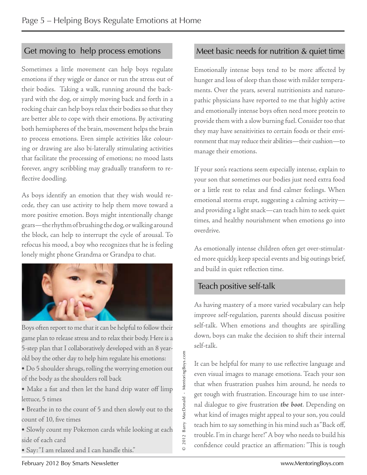#### Get moving to help process emotions

Sometimes a little movement can help boys regulate emotions if they wiggle or dance or run the stress out of their bodies. Taking a walk, running around the backyard with the dog, or simply moving back and forth in a rocking chair can help boys relax their bodies so that they are better able to cope with their emotions. By activating both hemispheres of the brain, movement helps the brain to process emotions. Even simple activities like colouring or drawing are also bi-laterally stimulating activities that facilitate the processing of emotions; no mood lasts forever, angry scribbling may gradually transform to reflective doodling.

As boys identify an emotion that they wish would recede, they can use activity to help them move toward a more positive emotion. Boys might intentionally change gears—the rhythm of brushing the dog, or walking around the block, can help to interrupt the cycle of arousal. To refocus his mood, a boy who recognizes that he is feeling lonely might phone Grandma or Grandpa to chat.



Boys often report to me that it can be helpful to follow their game plan to release stress and to relax their body. Here is a 5-step plan that I collaboratively developed with an 8 yearold boy the other day to help him regulate his emotions:

- Do 5 shoulder shrugs, rolling the worrying emotion out of the body as the shoulders roll back
- Make a fist and then let the hand drip water off limp lettuce, 5 times
- Breathe in to the count of 5 and then slowly out to the count of 10, five times

• Slowly count my Pokemon cards while looking at each side of each card

• Say: "I am relaxed and I can handle this."

#### Meet basic needs for nutrition & quiet time

Emotionally intense boys tend to be more affected by hunger and loss of sleep than those with milder temperaments. Over the years, several nutritionists and naturopathic physicians have reported to me that highly active and emotionally intense boys often need more protein to provide them with a slow burning fuel. Consider too that they may have sensitivities to certain foods or their environment that may reduce their abilities—their cushion—to manage their emotions.

If your son's reactions seem especially intense, explain to your son that sometimes our bodies just need extra food or a little rest to relax and find calmer feelings. When emotional storms erupt, suggesting a calming activity and providing a light snack—can teach him to seek quiet times, and healthy nourishment when emotions go into overdrive.

As emotionally intense children often get over-stimulated more quickly, keep special events and big outings brief, and build in quiet reflection time.

#### Teach positive self-talk

© 2012 Barry MacDonald - MentoringBoys.com

 $\circ$ 

2012 Barry MacDonald - MentoringBoys.com

As having mastery of a more varied vocabulary can help improve self-regulation, parents should discuss positive self-talk. When emotions and thoughts are spiralling down, boys can make the decision to shift their internal self-talk.

It can be helpful for many to use reflective language and even visual images to manage emotions. Teach your son that when frustration pushes him around, he needs to get tough with frustration. Encourage him to use internal dialogue to give frustration *the boot*. Depending on what kind of images might appeal to your son, you could teach him to say something in his mind such as "Back off, trouble. I'm in charge here!" A boy who needs to build his confidence could practice an affirmation: "This is tough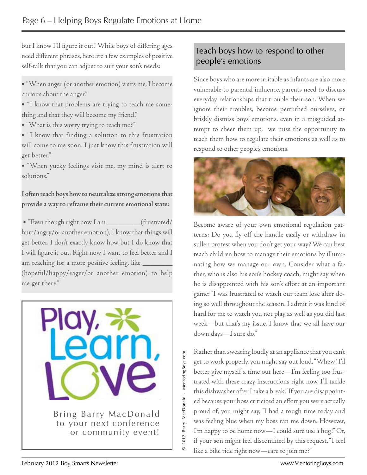but I know I'll figure it out." While boys of differing ages need different phrases, here are a few examples of positive self-talk that you can adjust to suit your son's needs:

• "When anger (or another emotion) visits me, I become curious about the anger."

• "I know that problems are trying to teach me something and that they will become my friend."

• "What is this worry trying to teach me?"

• "I know that finding a solution to this frustration will come to me soon. I just know this frustration will get better."

• "When yucky feelings visit me, my mind is alert to solutions."

**I often teach boys how to neutralize strong emotions that provide a way to reframe their current emotional state:**

• "Even though right now I am \_\_\_\_\_\_\_\_\_(frustrated/ hurt/angry/or another emotion), I know that things will get better. I don't exactly know how but I do know that I will figure it out. Right now I want to feel better and I am reaching for a more positive feeling, like \_ (hopeful/happy/eager/or another emotion) to help me get there."



#### Teach boys how to respond to other people's emotions

Since boys who are more irritable as infants are also more vulnerable to parental influence, parents need to discuss everyday relationships that trouble their son. When we ignore their troubles, become perturbed ourselves, or briskly dismiss boys' emotions, even in a misguided attempt to cheer them up, we miss the opportunity to teach them how to regulate their emotions as well as to respond to other people's emotions.



Become aware of your own emotional regulation patterns: Do you fly off the handle easily or withdraw in sullen protest when you don't get your way? We can best teach children how to manage their emotions by illuminating how we manage our own. Consider what a father, who is also his son's hockey coach, might say when he is disappointed with his son's effort at an important game: "I was frustrated to watch our team lose after doing so well throughout the season. I admit it was kind of hard for me to watch you not play as well as you did last week—but that's my issue. I know that we all have our down days—I sure do."

Rather than swearing loudly at an appliance that you can't get to work properly, you might say out loud, "Whew! I'd better give myself a time out here—I'm feeling too frustrated with these crazy instructions right now. I'll tackle this dishwasher after I take a break." If you are disappointed because your boss criticized an effort you were actually proud of, you might say, "I had a tough time today and was feeling blue when my boss ran me down. However, I'm happy to be home now—I could sure use a hug!" Or, if your son might feel discomfited by this request, "I feel like a bike ride right now—care to join me?"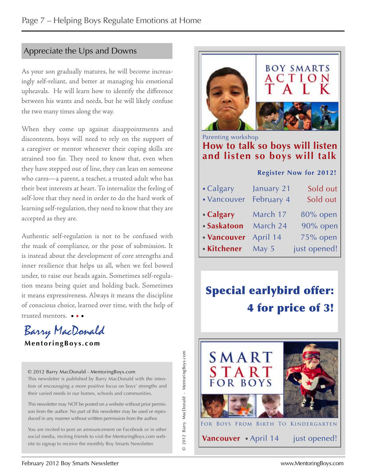#### Appreciate the Ups and Downs

As your son gradually matures, he will become increasingly self-reliant, and better at managing his emotional upheavals. He will learn how to identify the difference between his wants and needs, but he will likely confuse the two many times along the way.

When they come up against disappointments and discontents, boys will need to rely on the support of a caregiver or mentor whenever their coping skills are strained too far. They need to know that, even when they have stepped out of line, they can lean on someone who cares—a parent, a teacher, a trusted adult who has their best interests at heart. To internalize the feeling of self-love that they need in order to do the hard work of learning self-regulation, they need to know that they are accepted as they are.

 • • • trusted mentors. Authentic self-regulation is not to be confused with the mask of compliance, or the pose of submission. It is instead about the development of core strengths and inner resilience that helps us all, when we feel bowed under, to raise our heads again. Sometimes self-regulation means being quiet and holding back. Sometimes it means expressiveness. Always it means the discipline of conscious choice, learned over time, with the help of



**M e n t o r i n g B oy s . c o m**

© 2012 Barry MacDonald - MentoringBoys.com

This newsletter is published by Barry MacDonald with the intention of encouraging a more positive focus on boys' strengths and their varied needs in our homes, schools and communities.

This newsletter may NOT be posted on a website without prior permisson from the author. No part of this newsletter may be used or reproduced in any manner without writtten permission from the author.

You are invited to post an announcement on Facebook or in other social media, inviting friends to visit the MentoringBoys.com website to signup to receive the monthly Boy Smarts Newsletter.



## Special earlybird offer: 4 for price of 3!